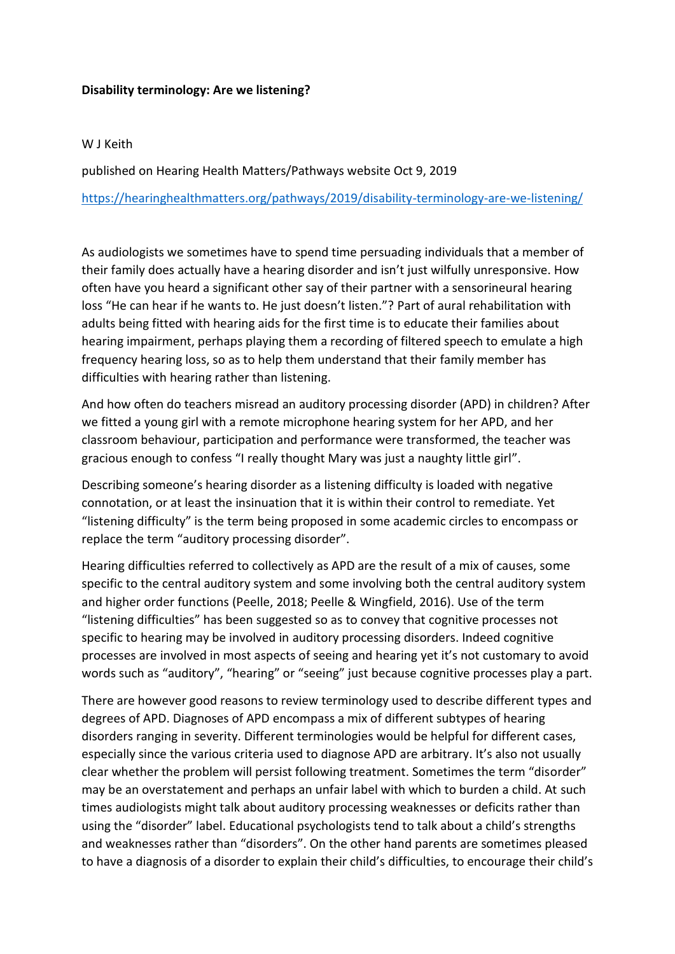## **Disability terminology: Are we listening?**

## W J Keith

published on Hearing Health Matters/Pathways website Oct 9, 2019 <https://hearinghealthmatters.org/pathways/2019/disability-terminology-are-we-listening/>

As audiologists we sometimes have to spend time persuading individuals that a member of their family does actually have a hearing disorder and isn't just wilfully unresponsive. How often have you heard a significant other say of their partner with a sensorineural hearing loss "He can hear if he wants to. He just doesn't listen."? Part of aural rehabilitation with adults being fitted with hearing aids for the first time is to educate their families about hearing impairment, perhaps playing them a recording of filtered speech to emulate a high frequency hearing loss, so as to help them understand that their family member has difficulties with hearing rather than listening.

And how often do teachers misread an auditory processing disorder (APD) in children? After we fitted a young girl with a remote microphone hearing system for her APD, and her classroom behaviour, participation and performance were transformed, the teacher was gracious enough to confess "I really thought Mary was just a naughty little girl".

Describing someone's hearing disorder as a listening difficulty is loaded with negative connotation, or at least the insinuation that it is within their control to remediate. Yet "listening difficulty" is the term being proposed in some academic circles to encompass or replace the term "auditory processing disorder".

Hearing difficulties referred to collectively as APD are the result of a mix of causes, some specific to the central auditory system and some involving both the central auditory system and higher order functions (Peelle, 2018; Peelle & Wingfield, 2016). Use of the term "listening difficulties" has been suggested so as to convey that cognitive processes not specific to hearing may be involved in auditory processing disorders. Indeed cognitive processes are involved in most aspects of seeing and hearing yet it's not customary to avoid words such as "auditory", "hearing" or "seeing" just because cognitive processes play a part.

There are however good reasons to review terminology used to describe different types and degrees of APD. Diagnoses of APD encompass a mix of different subtypes of hearing disorders ranging in severity. Different terminologies would be helpful for different cases, especially since the various criteria used to diagnose APD are arbitrary. It's also not usually clear whether the problem will persist following treatment. Sometimes the term "disorder" may be an overstatement and perhaps an unfair label with which to burden a child. At such times audiologists might talk about auditory processing weaknesses or deficits rather than using the "disorder" label. Educational psychologists tend to talk about a child's strengths and weaknesses rather than "disorders". On the other hand parents are sometimes pleased to have a diagnosis of a disorder to explain their child's difficulties, to encourage their child's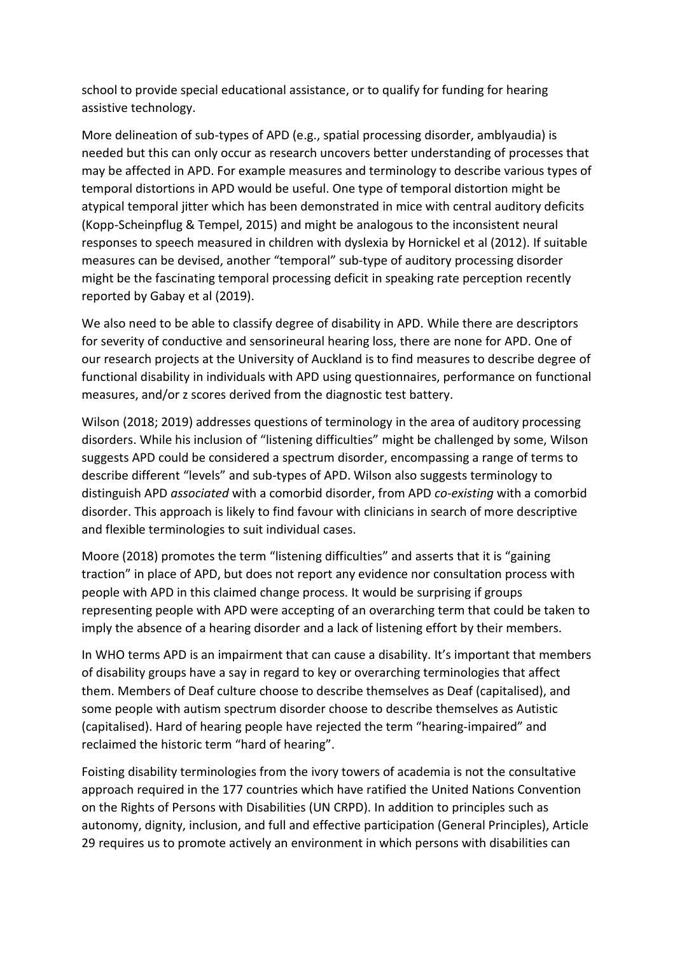school to provide special educational assistance, or to qualify for funding for hearing assistive technology.

More delineation of sub-types of APD (e.g., spatial processing disorder, amblyaudia) is needed but this can only occur as research uncovers better understanding of processes that may be affected in APD. For example measures and terminology to describe various types of temporal distortions in APD would be useful. One type of temporal distortion might be atypical temporal jitter which has been demonstrated in mice with central auditory deficits (Kopp-Scheinpflug & Tempel, 2015) and might be analogous to the inconsistent neural responses to speech measured in children with dyslexia by Hornickel et al (2012). If suitable measures can be devised, another "temporal" sub-type of auditory processing disorder might be the fascinating temporal processing deficit in speaking rate perception recently reported by Gabay et al (2019).

We also need to be able to classify degree of disability in APD. While there are descriptors for severity of conductive and sensorineural hearing loss, there are none for APD. One of our research projects at the University of Auckland is to find measures to describe degree of functional disability in individuals with APD using questionnaires, performance on functional measures, and/or z scores derived from the diagnostic test battery.

Wilson (2018; 2019) addresses questions of terminology in the area of auditory processing disorders. While his inclusion of "listening difficulties" might be challenged by some, Wilson suggests APD could be considered a spectrum disorder, encompassing a range of terms to describe different "levels" and sub-types of APD. Wilson also suggests terminology to distinguish APD *associated* with a comorbid disorder, from APD *co-existing* with a comorbid disorder. This approach is likely to find favour with clinicians in search of more descriptive and flexible terminologies to suit individual cases.

Moore (2018) promotes the term "listening difficulties" and asserts that it is "gaining traction" in place of APD, but does not report any evidence nor consultation process with people with APD in this claimed change process. It would be surprising if groups representing people with APD were accepting of an overarching term that could be taken to imply the absence of a hearing disorder and a lack of listening effort by their members.

In WHO terms APD is an impairment that can cause a disability. It's important that members of disability groups have a say in regard to key or overarching terminologies that affect them. Members of Deaf culture choose to describe themselves as Deaf (capitalised), and some people with autism spectrum disorder choose to describe themselves as Autistic (capitalised). Hard of hearing people have rejected the term "hearing-impaired" and reclaimed the historic term "hard of hearing".

Foisting disability terminologies from the ivory towers of academia is not the consultative approach required in the 177 countries which have ratified the United Nations Convention on the Rights of Persons with Disabilities (UN CRPD). In addition to principles such as autonomy, dignity, inclusion, and full and effective participation (General Principles), Article 29 requires us to promote actively an environment in which persons with disabilities can